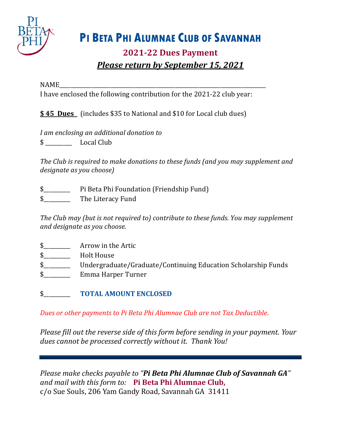

# **PI BETA PHI ALUMNAE CLUB OF SAVANNAH**

## **2021-22 Dues Payment** *Please return by September 15, 2021*

### NAME\_\_\_\_\_\_\_\_\_\_\_\_\_\_\_\_\_\_\_\_\_\_\_\_\_\_\_\_\_\_\_\_\_\_\_\_\_\_\_\_\_\_\_\_\_\_\_\_\_\_\_\_\_\_\_\_\_\_\_\_\_\_\_\_\_\_\_\_\_\_\_\_\_\_\_\_\_

I have enclosed the following contribution for the 2021-22 club year:

**\$ 45 Dues** (includes \$35 to National and \$10 for Local club dues)

*I am enclosing an additional donation to*  \$ \_\_\_\_\_\_\_\_\_\_ Local Club

*The Club is required to make donations to these funds (and you may supplement and designate as you choose)*

- \$\_\_\_\_\_\_\_\_\_\_ Pi Beta Phi Foundation (Friendship Fund)
- \$\_\_\_\_\_\_\_\_\_\_ The Literacy Fund

*The Club may (but is not required to) contribute to these funds. You may supplement and designate as you choose.*

- \$\_\_\_\_\_\_\_\_\_\_ Arrow in the Artic
- $\frac{1}{2}$  Holt House
- \$\_\_\_\_\_\_\_\_\_\_ Undergraduate/Graduate/Continuing Education Scholarship Funds
- \$\_\_\_\_\_\_\_\_\_\_ Emma Harper Turner
- \$\_\_\_\_\_\_\_\_\_\_ **TOTAL AMOUNT ENCLOSED**

*Dues or other payments to Pi Beta Phi Alumnae Club are not Tax Deductible*.

*Please fill out the reverse side of this form before sending in your payment. Your dues cannot be processed correctly without it. Thank You!*

*Please make checks payable to "Pi Beta Phi Alumnae Club of Savannah GA" and mail with this form to:* **Pi Beta Phi Alumnae Club,**  c/o Sue Souls, 206 Yam Gandy Road, Savannah GA 31411